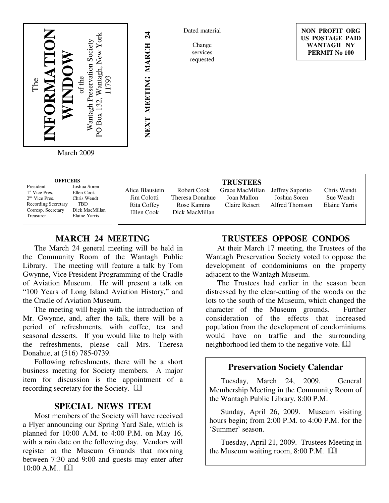

Dated material

Change services requested

**NON PROFIT ORG US POSTAGE PAID WANTAGH NY PERMIT No 100**

March 2009

| <b>OFFICERS</b>            |                     |  |
|----------------------------|---------------------|--|
| President                  | <b>Joshua Soren</b> |  |
| 1 <sup>st</sup> Vice Pres. | Ellen Cook          |  |
| $2nd$ Vice Pres.           | Chris Wendt         |  |
| <b>Recording Secretary</b> | TRD                 |  |
| Corresp. Secretary         | Dick MacMillan      |  |
| Treasurer                  | Elaine Yarris       |  |
|                            |                     |  |

Alice Blaustein Jim Colotti Rita Coffey Ellen Cook

**NEXT MEETING MARCH 24**

NEXT MEETING MARCH

 $\overline{24}$ 

Robert Cook Theresa Donahue Rose Kamins Dick MacMillan

**TRUSTEES** Joan Mallon Claire Reisert

Grace MacMillan Jeffrey Saporito Joshua Soren Alfred Thomson

Chris Wendt Sue Wendt Elaine Yarris

# **MARCH 24 MEETING**

The March 24 general meeting will be held in the Community Room of the Wantagh Public Library. The meeting will feature a talk by Tom Gwynne, Vice President Programming of the Cradle of Aviation Museum. He will present a talk on "100 Years of Long Island Aviation History," and the Cradle of Aviation Museum.

The meeting will begin with the introduction of Mr. Gwynne, and, after the talk, there will be a period of refreshments, with coffee, tea and seasonal desserts. If you would like to help with the refreshments, please call Mrs. Theresa Donahue, at (516) 785-0739.

Following refreshments, there will be a short business meeting for Society members. A major item for discussion is the appointment of a recording secretary for the Society.

## **SPECIAL NEWS ITEM**

Most members of the Society will have received a Flyer announcing our Spring Yard Sale, which is planned for 10:00 A.M. to 4:00 P.M. on May 16, with a rain date on the following day. Vendors will register at the Museum Grounds that morning between 7:30 and 9:00 and guests may enter after  $10:00 A.M.$ 

## **TRUSTEES OPPOSE CONDOS**

At their March 17 meeting, the Trustees of the Wantagh Preservation Society voted to oppose the development of condominiums on the property adjacent to the Wantagh Museum.

The Trustees had earlier in the season been distressed by the clear-cutting of the woods on the lots to the south of the Museum, which changed the character of the Museum grounds. Further consideration of the effects that increased population from the development of condominiums would have on traffic and the surrounding neighborhood led them to the negative vote.

#### **Preservation Society Calendar**

Tuesday, March 24, 2009. General Membership Meeting in the Community Room of the Wantagh Public Library, 8:00 P.M.

Sunday, April 26, 2009. Museum visiting hours begin; from 2:00 P.M. to 4:00 P.M. for the 'Summer' season.

Tuesday, April 21, 2009. Trustees Meeting in the Museum waiting room, 8:00 P.M.